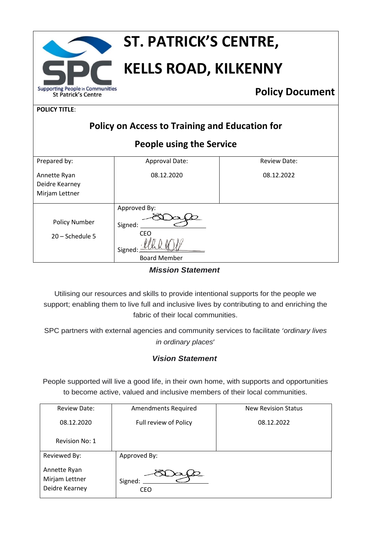

# **ST. PATRICK'S CENTRE,**

# **KELLS ROAD, KILKENNY**

**Policy Document**

**POLICY TITLE**:

| <b>Policy on Access to Training and Education for</b> |                                                                 |                     |
|-------------------------------------------------------|-----------------------------------------------------------------|---------------------|
| People using the Service                              |                                                                 |                     |
| Prepared by:                                          | Approval Date:                                                  | <b>Review Date:</b> |
| Annette Ryan<br>Deidre Kearney<br>Mirjam Lettner      | 08.12.2020                                                      | 08.12.2022          |
| <b>Policy Number</b><br>20 - Schedule 5               | Approved By:<br>Signed:<br>CEO<br>Signed<br><b>Board Member</b> |                     |

*Mission Statement*

Utilising our resources and skills to provide intentional supports for the people we support; enabling them to live full and inclusive lives by contributing to and enriching the fabric of their local communities.

SPC partners with external agencies and community services to facilitate '*ordinary lives in ordinary places*'

# *Vision Statement*

People supported will live a good life, in their own home, with supports and opportunities to become active, valued and inclusive members of their local communities.

| <b>Review Date:</b>                              | <b>Amendments Required</b> | <b>New Revision Status</b> |
|--------------------------------------------------|----------------------------|----------------------------|
| 08.12.2020                                       | Full review of Policy      | 08.12.2022                 |
| Revision No: 1                                   |                            |                            |
| Reviewed By:                                     | Approved By:               |                            |
| Annette Ryan<br>Mirjam Lettner<br>Deidre Kearney | Signed:<br><b>CEO</b>      |                            |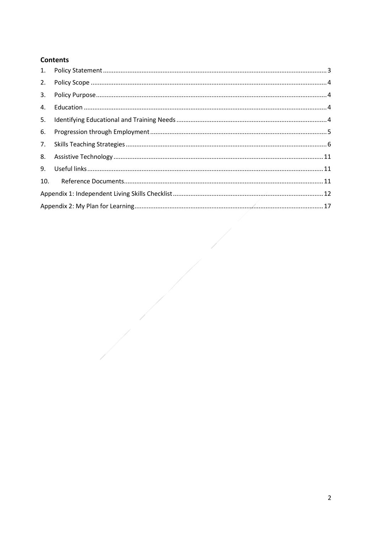# **Contents**

| 2.  |  |
|-----|--|
|     |  |
| 4.  |  |
| 5.  |  |
| 6.  |  |
| 7.  |  |
| 8.  |  |
| 9.  |  |
| 10. |  |
|     |  |
|     |  |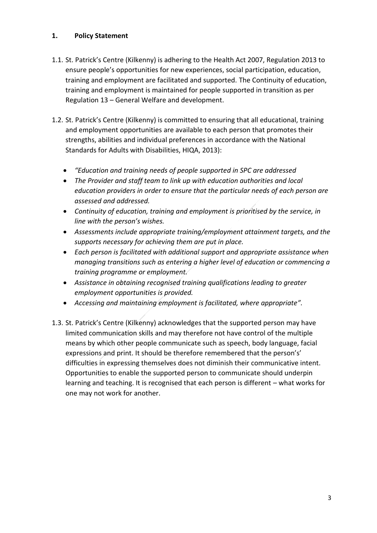# <span id="page-2-0"></span>**1. Policy Statement**

- 1.1. St. Patrick's Centre (Kilkenny) is adhering to the Health Act 2007, Regulation 2013 to ensure people's opportunities for new experiences, social participation, education, training and employment are facilitated and supported. The Continuity of education, training and employment is maintained for people supported in transition as per Regulation 13 – General Welfare and development.
- 1.2. St. Patrick's Centre (Kilkenny) is committed to ensuring that all educational, training and employment opportunities are available to each person that promotes their strengths, abilities and individual preferences in accordance with the National Standards for Adults with Disabilities, HIQA, 2013):
	- *"Education and training needs of people supported in SPC are addressed*
	- *The Provider and staff team to link up with education authorities and local education providers in order to ensure that the particular needs of each person are assessed and addressed.*
	- *Continuity of education, training and employment is prioritised by the service, in line with the person's wishes.*
	- *Assessments include appropriate training/employment attainment targets, and the supports necessary for achieving them are put in place.*
	- *Each person is facilitated with additional support and appropriate assistance when managing transitions such as entering a higher level of education or commencing a training programme or employment.*
	- *Assistance in obtaining recognised training qualifications leading to greater employment opportunities is provided.*
	- *Accessing and maintaining employment is facilitated, where appropriate".*
- 1.3. St. Patrick's Centre (Kilkenny) acknowledges that the supported person may have limited communication skills and may therefore not have control of the multiple means by which other people communicate such as speech, body language, facial expressions and print. It should be therefore remembered that the person's' difficulties in expressing themselves does not diminish their communicative intent. Opportunities to enable the supported person to communicate should underpin learning and teaching. It is recognised that each person is different – what works for one may not work for another.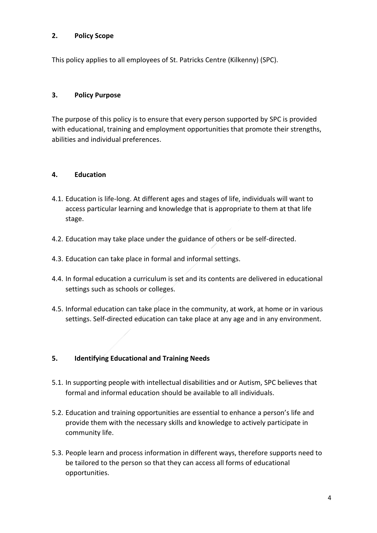#### <span id="page-3-0"></span>**2. Policy Scope**

This policy applies to all employees of St. Patricks Centre (Kilkenny) (SPC).

### <span id="page-3-1"></span>**3. Policy Purpose**

The purpose of this policy is to ensure that every person supported by SPC is provided with educational, training and employment opportunities that promote their strengths, abilities and individual preferences.

### <span id="page-3-2"></span>**4. Education**

- 4.1. Education is life-long. At different ages and stages of life, individuals will want to access particular learning and knowledge that is appropriate to them at that life stage.
- 4.2. Education may take place under the guidance of others or be self-directed.
- 4.3. Education can take place in formal and informal settings.
- 4.4. In formal education a curriculum is set and its contents are delivered in educational settings such as schools or colleges.
- 4.5. Informal education can take place in the community, at work, at home or in various settings. Self-directed education can take place at any age and in any environment.

### <span id="page-3-3"></span>**5. Identifying Educational and Training Needs**

- 5.1. In supporting people with intellectual disabilities and or Autism, SPC believes that formal and informal education should be available to all individuals.
- 5.2. Education and training opportunities are essential to enhance a person's life and provide them with the necessary skills and knowledge to actively participate in community life.
- 5.3. People learn and process information in different ways, therefore supports need to be tailored to the person so that they can access all forms of educational opportunities.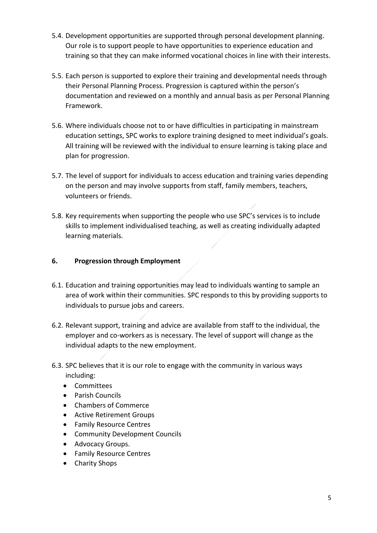- 5.4. Development opportunities are supported through personal development planning. Our role is to support people to have opportunities to experience education and training so that they can make informed vocational choices in line with their interests.
- 5.5. Each person is supported to explore their training and developmental needs through their Personal Planning Process. Progression is captured within the person's documentation and reviewed on a monthly and annual basis as per Personal Planning Framework.
- 5.6. Where individuals choose not to or have difficulties in participating in mainstream education settings, SPC works to explore training designed to meet individual's goals. All training will be reviewed with the individual to ensure learning is taking place and plan for progression.
- 5.7. The level of support for individuals to access education and training varies depending on the person and may involve supports from staff, family members, teachers, volunteers or friends.
- 5.8. Key requirements when supporting the people who use SPC's services is to include skills to implement individualised teaching, as well as creating individually adapted learning materials.

# <span id="page-4-0"></span>**6. Progression through Employment**

- 6.1. Education and training opportunities may lead to individuals wanting to sample an area of work within their communities. SPC responds to this by providing supports to individuals to pursue jobs and careers.
- 6.2. Relevant support, training and advice are available from staff to the individual, the employer and co-workers as is necessary. The level of support will change as the individual adapts to the new employment.
- 6.3. SPC believes that it is our role to engage with the community in various ways including:
	- Committees
	- Parish Councils
	- Chambers of Commerce
	- Active Retirement Groups
	- Family Resource Centres
	- Community Development Councils
	- Advocacy Groups.
	- Family Resource Centres
	- Charity Shops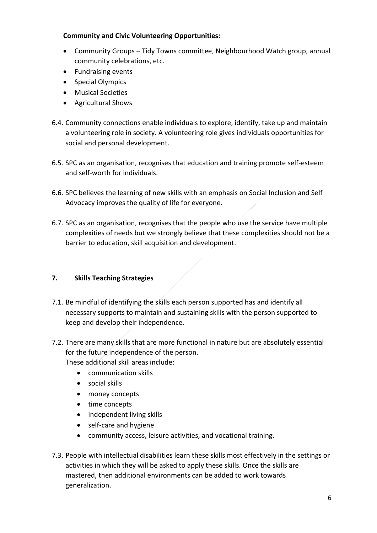### **Community and Civic Volunteering Opportunities:**

- Community Groups Tidy Towns committee, Neighbourhood Watch group, annual community celebrations, etc.
- Fundraising events
- Special Olympics
- Musical Societies
- Agricultural Shows
- 6.4. Community connections enable individuals to explore, identify, take up and maintain a volunteering role in society. A volunteering role gives individuals opportunities for social and personal development.
- 6.5. SPC as an organisation, recognises that education and training promote self-esteem and self-worth for individuals.
- 6.6. SPC believes the learning of new skills with an emphasis on Social Inclusion and Self Advocacy improves the quality of life for everyone.
- 6.7. SPC as an organisation, recognises that the people who use the service have multiple complexities of needs but we strongly believe that these complexities should not be a barrier to education, skill acquisition and development.

# <span id="page-5-0"></span>**7. Skills Teaching Strategies**

- 7.1. Be mindful of identifying the skills each person supported has and identify all necessary supports to maintain and sustaining skills with the person supported to keep and develop their independence.
- 7.2. There are many skills that are more functional in nature but are absolutely essential for the future independence of the person.

These additional skill areas include:

- communication skills
- social skills
- money concepts
- time concepts
- independent living skills
- self-care and hygiene
- community access, leisure activities, and vocational training.
- 7.3. People with intellectual disabilities learn these skills most effectively in the settings or activities in which they will be asked to apply these skills. Once the skills are mastered, then additional environments can be added to work towards generalization.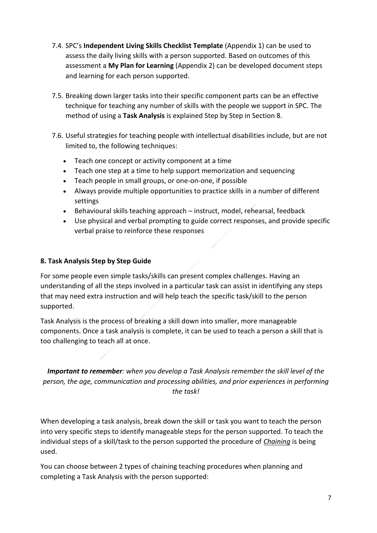- 7.4. SPC's **Independent Living Skills Checklist Template** (Appendix 1) can be used to assess the daily living skills with a person supported. Based on outcomes of this assessment a **My Plan for Learning** (Appendix 2) can be developed document steps and learning for each person supported.
- 7.5. Breaking down larger tasks into their specific component parts can be an effective technique for teaching any number of skills with the people we support in SPC. The method of using a **Task Analysis** is explained Step by Step in Section 8.
- 7.6. Useful strategies for teaching people with intellectual disabilities include, but are not limited to, the following techniques:
	- Teach one concept or activity component at a time
	- Teach one step at a time to help support memorization and sequencing
	- Teach people in small groups, or one-on-one, if possible
	- Always provide multiple opportunities to practice skills in a number of different settings
	- Behavioural skills teaching approach instruct, model, rehearsal, feedback
	- Use physical and verbal prompting to guide correct responses, and provide specific verbal praise to reinforce these responses

### **8. Task Analysis Step by Step Guide**

For some people even simple tasks/skills can present complex challenges. Having an understanding of all the steps involved in a particular task can assist in identifying any steps that may need extra instruction and will help teach the specific task/skill to the person supported.

Task Analysis is the process of breaking a skill down into smaller, more manageable components. Once a task analysis is complete, it can be used to teach a person a skill that is too challenging to teach all at once.

*Important to remember: when you develop a Task Analysis remember the skill level of the person, the age, communication and processing abilities, and prior experiences in performing the task!*

When developing a task analysis, break down the skill or task you want to teach the person into very specific steps to identify manageable steps for the person supported. To teach the individual steps of a skill/task to the person supported the procedure of *Chaining* is being used.

You can choose between 2 types of chaining teaching procedures when planning and completing a Task Analysis with the person supported: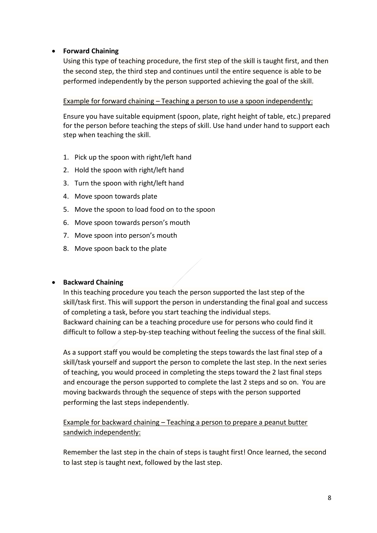### • **Forward Chaining**

Using this type of teaching procedure, the first step of the skill is taught first, and then the second step, the third step and continues until the entire sequence is able to be performed independently by the person supported achieving the goal of the skill.

#### Example for forward chaining – Teaching a person to use a spoon independently:

Ensure you have suitable equipment (spoon, plate, right height of table, etc.) prepared for the person before teaching the steps of skill. Use hand under hand to support each step when teaching the skill.

- 1. Pick up the spoon with right/left hand
- 2. Hold the spoon with right/left hand
- 3. Turn the spoon with right/left hand
- 4. Move spoon towards plate
- 5. Move the spoon to load food on to the spoon
- 6. Move spoon towards person's mouth
- 7. Move spoon into person's mouth
- 8. Move spoon back to the plate

### • **Backward Chaining**

In this teaching procedure you teach the person supported the last step of the skill/task first. This will support the person in understanding the final goal and success of completing a task, before you start teaching the individual steps. Backward chaining can be a teaching procedure use for persons who could find it difficult to follow a step-by-step teaching without feeling the success of the final skill.

As a support staff you would be completing the steps towards the last final step of a skill/task yourself and support the person to complete the last step. In the next series of teaching, you would proceed in completing the steps toward the 2 last final steps and encourage the person supported to complete the last 2 steps and so on. You are moving backwards through the sequence of steps with the person supported performing the last steps independently.

Example for backward chaining – Teaching a person to prepare a peanut butter sandwich independently:

Remember the last step in the chain of steps is taught first! Once learned, the second to last step is taught next, followed by the last step.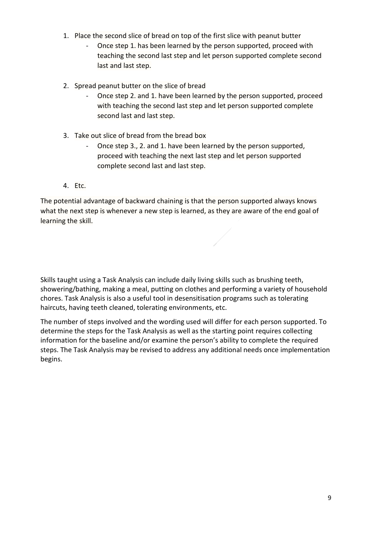- 1. Place the second slice of bread on top of the first slice with peanut butter
	- Once step 1. has been learned by the person supported, proceed with teaching the second last step and let person supported complete second last and last step.
- 2. Spread peanut butter on the slice of bread
	- Once step 2. and 1. have been learned by the person supported, proceed with teaching the second last step and let person supported complete second last and last step.
- 3. Take out slice of bread from the bread box
	- Once step 3., 2. and 1. have been learned by the person supported, proceed with teaching the next last step and let person supported complete second last and last step.
- 4. Etc.

The potential advantage of backward chaining is that the person supported always knows what the next step is whenever a new step is learned, as they are aware of the end goal of learning the skill.

Skills taught using a Task Analysis can include daily living skills such as brushing teeth, showering/bathing, making a meal, putting on clothes and performing a variety of household chores. Task Analysis is also a useful tool in desensitisation programs such as tolerating haircuts, having teeth cleaned, tolerating environments, etc.

The number of steps involved and the wording used will differ for each person supported. To determine the steps for the Task Analysis as well as the starting point requires collecting information for the baseline and/or examine the person's ability to complete the required steps. The Task Analysis may be revised to address any additional needs once implementation begins.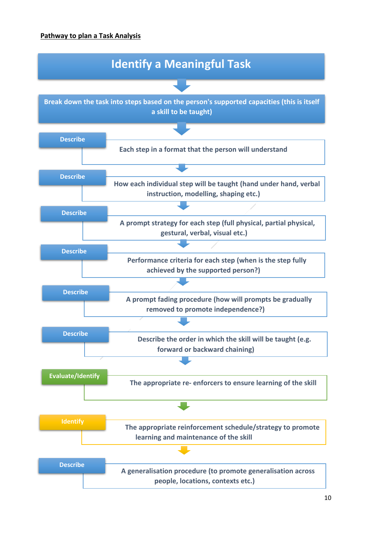# **Pathway to plan a Task Analysis**

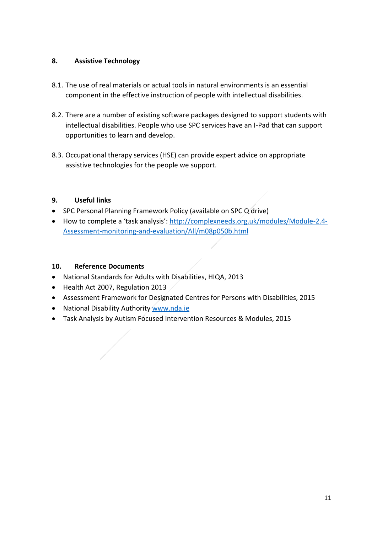# <span id="page-10-0"></span>**8. Assistive Technology**

- 8.1. The use of real materials or actual tools in natural environments is an essential component in the effective instruction of people with intellectual disabilities.
- 8.2. There are a number of existing software packages designed to support students with intellectual disabilities. People who use SPC services have an I-Pad that can support opportunities to learn and develop.
- 8.3. Occupational therapy services (HSE) can provide expert advice on appropriate assistive technologies for the people we support.

# <span id="page-10-1"></span>**9. Useful links**

- SPC Personal Planning Framework Policy (available on SPC Q drive)
- How to complete a 'task analysis': [http://complexneeds.org.uk/modules/Module-2.4-](http://complexneeds.org.uk/modules/Module-2.4-Assessment-monitoring-and-evaluation/All/m08p050b.html) [Assessment-monitoring-and-evaluation/All/m08p050b.html](http://complexneeds.org.uk/modules/Module-2.4-Assessment-monitoring-and-evaluation/All/m08p050b.html)

# <span id="page-10-2"></span>**10. Reference Documents**

- National Standards for Adults with Disabilities, HIQA, 2013
- Health Act 2007, Regulation 2013
- Assessment Framework for Designated Centres for Persons with Disabilities, 2015
- National Disability Authority [www.nda.ie](http://www.nda.ie/)
- Task Analysis by Autism Focused Intervention Resources & Modules, 2015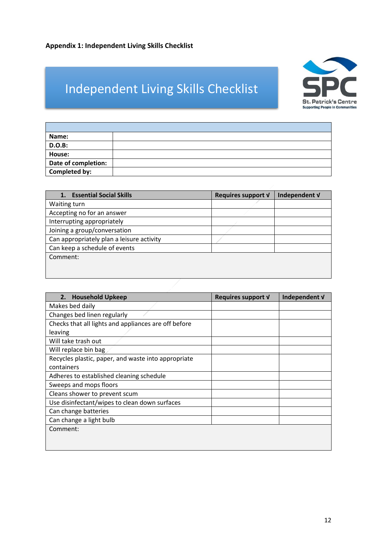# <span id="page-11-0"></span>Independent Living Skills Checklist



| Name:               |  |
|---------------------|--|
| <b>D.O.B:</b>       |  |
| House:              |  |
| Date of completion: |  |
| Completed by:       |  |
|                     |  |

| <b>Essential Social Skills</b>            | Requires support V | Independent V |
|-------------------------------------------|--------------------|---------------|
| Waiting turn                              |                    |               |
| Accepting no for an answer                |                    |               |
| Interrupting appropriately                |                    |               |
| Joining a group/conversation              |                    |               |
| Can appropriately plan a leisure activity |                    |               |
| Can keep a schedule of events             |                    |               |
| Comment:                                  |                    |               |
|                                           |                    |               |
|                                           |                    |               |

| 2. Household Upkeep                                  | Requires support V | Independent V |
|------------------------------------------------------|--------------------|---------------|
| Makes bed daily                                      |                    |               |
| Changes bed linen regularly                          |                    |               |
| Checks that all lights and appliances are off before |                    |               |
| leaving                                              |                    |               |
| Will take trash out                                  |                    |               |
| Will replace bin bag                                 |                    |               |
| Recycles plastic, paper, and waste into appropriate  |                    |               |
| containers                                           |                    |               |
| Adheres to established cleaning schedule             |                    |               |
| Sweeps and mops floors                               |                    |               |
| Cleans shower to prevent scum                        |                    |               |
| Use disinfectant/wipes to clean down surfaces        |                    |               |
| Can change batteries                                 |                    |               |
| Can change a light bulb                              |                    |               |
| Comment:                                             |                    |               |
|                                                      |                    |               |
|                                                      |                    |               |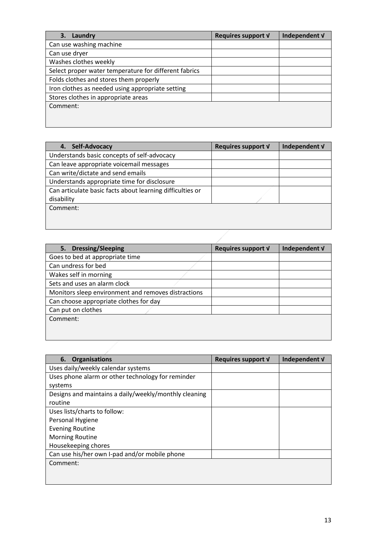| Laundry<br>3.                                         | Requires support V | Independent V |
|-------------------------------------------------------|--------------------|---------------|
| Can use washing machine                               |                    |               |
| Can use dryer                                         |                    |               |
| Washes clothes weekly                                 |                    |               |
| Select proper water temperature for different fabrics |                    |               |
| Folds clothes and stores them properly                |                    |               |
| Iron clothes as needed using appropriate setting      |                    |               |
| Stores clothes in appropriate areas                   |                    |               |
| Comment:                                              |                    |               |
|                                                       |                    |               |
|                                                       |                    |               |

| Self-Advocacy<br>4.                                       | Requires support V | Independent V |
|-----------------------------------------------------------|--------------------|---------------|
| Understands basic concepts of self-advocacy               |                    |               |
| Can leave appropriate voicemail messages                  |                    |               |
| Can write/dictate and send emails                         |                    |               |
| Understands appropriate time for disclosure               |                    |               |
| Can articulate basic facts about learning difficulties or |                    |               |
| disability                                                |                    |               |
| Comment:                                                  |                    |               |
|                                                           |                    |               |
|                                                           |                    |               |

| 5. Dressing/Sleeping                                | Requires support V | Independent V |
|-----------------------------------------------------|--------------------|---------------|
| Goes to bed at appropriate time                     |                    |               |
| Can undress for bed                                 |                    |               |
| Wakes self in morning                               |                    |               |
| Sets and uses an alarm clock                        |                    |               |
| Monitors sleep environment and removes distractions |                    |               |
| Can choose appropriate clothes for day              |                    |               |
| Can put on clothes                                  |                    |               |
| Comment:                                            |                    |               |
|                                                     |                    |               |
|                                                     |                    |               |

| <b>Organisations</b><br>6.                            | Requires support V | Independent V |
|-------------------------------------------------------|--------------------|---------------|
| Uses daily/weekly calendar systems                    |                    |               |
| Uses phone alarm or other technology for reminder     |                    |               |
| systems                                               |                    |               |
| Designs and maintains a daily/weekly/monthly cleaning |                    |               |
| routine                                               |                    |               |
| Uses lists/charts to follow:                          |                    |               |
| Personal Hygiene                                      |                    |               |
| <b>Evening Routine</b>                                |                    |               |
| <b>Morning Routine</b>                                |                    |               |
| Housekeeping chores                                   |                    |               |
| Can use his/her own I-pad and/or mobile phone         |                    |               |
| Comment:                                              |                    |               |
|                                                       |                    |               |
|                                                       |                    |               |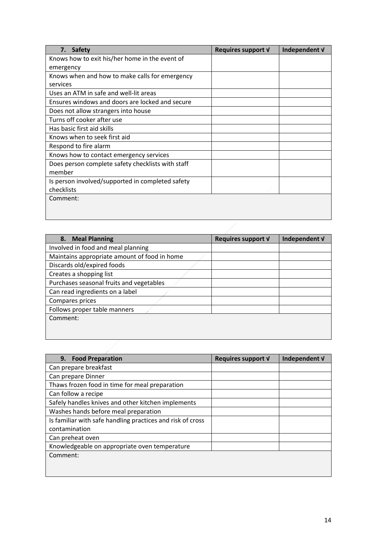| 7.<br><b>Safety</b>                               | Requires support V | Independent V |
|---------------------------------------------------|--------------------|---------------|
| Knows how to exit his/her home in the event of    |                    |               |
| emergency                                         |                    |               |
| Knows when and how to make calls for emergency    |                    |               |
| services                                          |                    |               |
| Uses an ATM in safe and well-lit areas            |                    |               |
| Ensures windows and doors are locked and secure   |                    |               |
| Does not allow strangers into house               |                    |               |
| Turns off cooker after use                        |                    |               |
| Has basic first aid skills                        |                    |               |
| Knows when to seek first aid                      |                    |               |
| Respond to fire alarm                             |                    |               |
| Knows how to contact emergency services           |                    |               |
| Does person complete safety checklists with staff |                    |               |
| member                                            |                    |               |
| Is person involved/supported in completed safety  |                    |               |
| checklists                                        |                    |               |
| Comment:                                          |                    |               |
|                                                   |                    |               |
|                                                   |                    |               |

| 8. Meal Planning                             | Requires support V | Independent V |
|----------------------------------------------|--------------------|---------------|
| Involved in food and meal planning           |                    |               |
| Maintains appropriate amount of food in home |                    |               |
| Discards old/expired foods                   |                    |               |
| Creates a shopping list                      |                    |               |
| Purchases seasonal fruits and vegetables     |                    |               |
| Can read ingredients on a label              |                    |               |
| Compares prices                              |                    |               |
| Follows proper table manners                 |                    |               |
| Comment:                                     |                    |               |
|                                              |                    |               |
|                                              |                    |               |

| 9. Food Preparation                                        | Requires support V | Independent V |
|------------------------------------------------------------|--------------------|---------------|
| Can prepare breakfast                                      |                    |               |
| Can prepare Dinner                                         |                    |               |
| Thaws frozen food in time for meal preparation             |                    |               |
| Can follow a recipe                                        |                    |               |
| Safely handles knives and other kitchen implements         |                    |               |
| Washes hands before meal preparation                       |                    |               |
| Is familiar with safe handling practices and risk of cross |                    |               |
| contamination                                              |                    |               |
| Can preheat oven                                           |                    |               |
| Knowledgeable on appropriate oven temperature              |                    |               |
| Comment:                                                   |                    |               |
|                                                            |                    |               |

in the contract of the contract of the contract of the contract of the contract of the contract of the contract of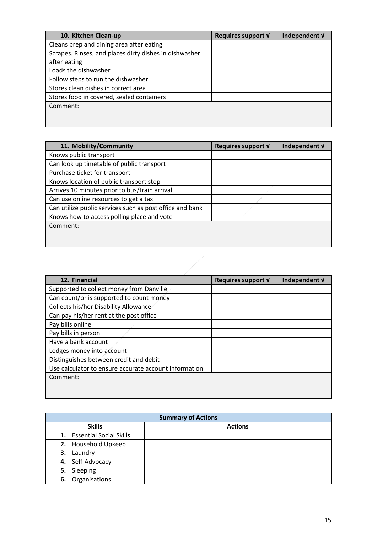| 10. Kitchen Clean-up                                   | Requires support V | Independent V |
|--------------------------------------------------------|--------------------|---------------|
| Cleans prep and dining area after eating               |                    |               |
| Scrapes. Rinses, and places dirty dishes in dishwasher |                    |               |
| after eating                                           |                    |               |
| Loads the dishwasher                                   |                    |               |
| Follow steps to run the dishwasher                     |                    |               |
| Stores clean dishes in correct area                    |                    |               |
| Stores food in covered, sealed containers              |                    |               |
| Comment:                                               |                    |               |
|                                                        |                    |               |
|                                                        |                    |               |

| 11. Mobility/Community                                   | Requires support V | Independent V |
|----------------------------------------------------------|--------------------|---------------|
| Knows public transport                                   |                    |               |
| Can look up timetable of public transport                |                    |               |
| Purchase ticket for transport                            |                    |               |
| Knows location of public transport stop                  |                    |               |
| Arrives 10 minutes prior to bus/train arrival            |                    |               |
| Can use online resources to get a taxi                   |                    |               |
| Can utilize public services such as post office and bank |                    |               |
| Knows how to access polling place and vote               |                    |               |
| Comment:                                                 |                    |               |
|                                                          |                    |               |
|                                                          |                    |               |

| 12. Financial                                         | Requires support V | Independent V |
|-------------------------------------------------------|--------------------|---------------|
| Supported to collect money from Danville              |                    |               |
| Can count/or is supported to count money              |                    |               |
| <b>Collects his/her Disability Allowance</b>          |                    |               |
| Can pay his/her rent at the post office               |                    |               |
| Pay bills online                                      |                    |               |
| Pay bills in person                                   |                    |               |
| Have a bank account                                   |                    |               |
| Lodges money into account                             |                    |               |
| Distinguishes between credit and debit                |                    |               |
| Use calculator to ensure accurate account information |                    |               |
| Comment:                                              |                    |               |
|                                                       |                    |               |
|                                                       |                    |               |

| <b>Summary of Actions</b>  |                |  |
|----------------------------|----------------|--|
| <b>Skills</b>              | <b>Actions</b> |  |
| 1. Essential Social Skills |                |  |
| 2. Household Upkeep        |                |  |
| Laundry<br>З.              |                |  |
| 4. Self-Advocacy           |                |  |
| Sleeping<br>5.             |                |  |
| 6. Organisations           |                |  |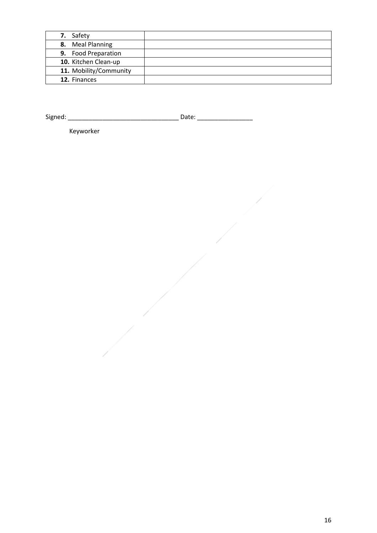| 7. Safety              |  |
|------------------------|--|
| 8. Meal Planning       |  |
| 9. Food Preparation    |  |
| 10. Kitchen Clean-up   |  |
| 11. Mobility/Community |  |
| 12. Finances           |  |

Signed: \_\_\_\_\_\_\_\_\_\_\_\_\_\_\_\_\_\_\_\_\_\_\_\_\_\_\_\_\_\_\_\_ Date: \_\_\_\_\_\_\_\_\_\_\_\_\_\_\_\_

Keyworker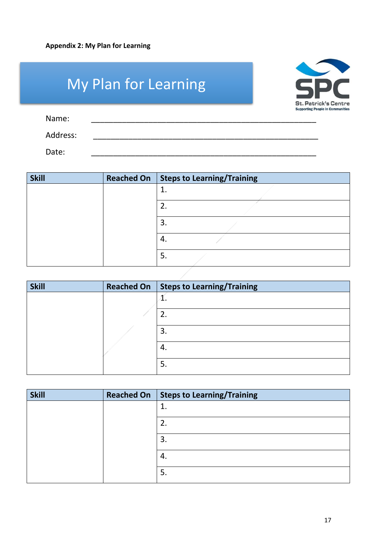<span id="page-16-0"></span>

|          | <b>My Plan for Learning</b> | <b>St. Patrick's Centre</b>             |
|----------|-----------------------------|-----------------------------------------|
| Name:    |                             | <b>Supporting People in Communities</b> |
| Address: |                             |                                         |
| Date:    |                             |                                         |

| <b>Skill</b> | <b>Reached On</b> | Steps to Learning/Training |
|--------------|-------------------|----------------------------|
|              |                   | ᅩ                          |
|              |                   |                            |
|              |                   | 3.                         |
|              |                   | -4.                        |
|              |                   | 5.                         |

| <b>Skill</b> | Reached On   Steps to Learning/Training |
|--------------|-----------------------------------------|
|              | ⊥.                                      |
|              |                                         |
|              | 3.                                      |
|              | 4.                                      |
|              | 5.                                      |

| <b>Skill</b> | <b>Reached On</b> | Steps to Learning/Training |
|--------------|-------------------|----------------------------|
|              |                   | ⊥.                         |
|              |                   | z.                         |
|              |                   | 3.                         |
|              |                   | 4.                         |
|              |                   | 5.                         |